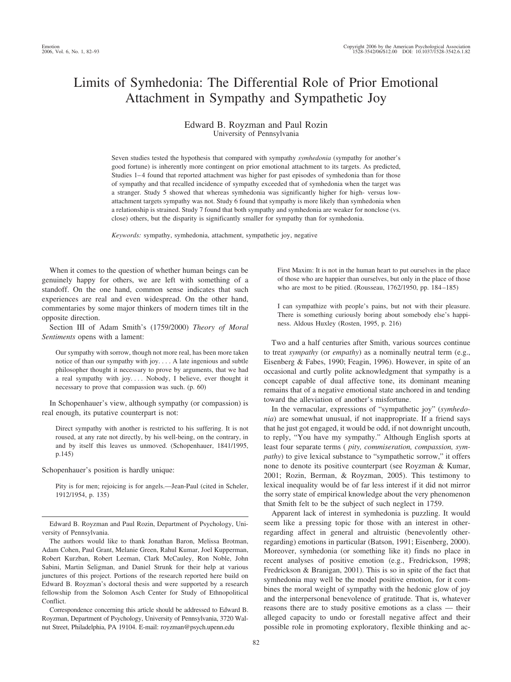# Limits of Symhedonia: The Differential Role of Prior Emotional Attachment in Sympathy and Sympathetic Joy

#### Edward B. Royzman and Paul Rozin University of Pennsylvania

Seven studies tested the hypothesis that compared with sympathy *symhedonia* (sympathy for another's good fortune) is inherently more contingent on prior emotional attachment to its targets. As predicted, Studies 1–4 found that reported attachment was higher for past episodes of symhedonia than for those of sympathy and that recalled incidence of sympathy exceeded that of symhedonia when the target was a stranger. Study 5 showed that whereas symhedonia was significantly higher for high- versus lowattachment targets sympathy was not. Study 6 found that sympathy is more likely than symhedonia when a relationship is strained. Study 7 found that both sympathy and symhedonia are weaker for nonclose (vs. close) others, but the disparity is significantly smaller for sympathy than for symhedonia.

*Keywords:* sympathy, symhedonia, attachment, sympathetic joy, negative

When it comes to the question of whether human beings can be genuinely happy for others, we are left with something of a standoff. On the one hand, common sense indicates that such experiences are real and even widespread. On the other hand, commentaries by some major thinkers of modern times tilt in the opposite direction.

Section III of Adam Smith's (1759/2000) *Theory of Moral Sentiments* opens with a lament:

Our sympathy with sorrow, though not more real, has been more taken notice of than our sympathy with joy. . . . A late ingenious and subtle philosopher thought it necessary to prove by arguments, that we had a real sympathy with joy.... Nobody, I believe, ever thought it necessary to prove that compassion was such. (p. 60)

In Schopenhauer's view, although sympathy (or compassion) is real enough, its putative counterpart is not:

Direct sympathy with another is restricted to his suffering. It is not roused, at any rate not directly, by his well-being, on the contrary, in and by itself this leaves us unmoved. (Schopenhauer, 1841/1995, p.145)

Schopenhauer's position is hardly unique:

Pity is for men; rejoicing is for angels.—Jean-Paul (cited in Scheler, 1912/1954, p. 135)

Correspondence concerning this article should be addressed to Edward B. Royzman, Department of Psychology, University of Pennsylvania, 3720 Walnut Street, Philadelphia, PA 19104. E-mail: royzman@psych.upenn.edu

First Maxim: It is not in the human heart to put ourselves in the place of those who are happier than ourselves, but only in the place of those who are most to be pitied. (Rousseau, 1762/1950, pp. 184–185)

I can sympathize with people's pains, but not with their pleasure. There is something curiously boring about somebody else's happiness. Aldous Huxley (Rosten, 1995, p. 216)

Two and a half centuries after Smith, various sources continue to treat *sympathy* (or *empathy*) as a nominally neutral term (e.g., Eisenberg & Fabes, 1990; Feagin, 1996). However, in spite of an occasional and curtly polite acknowledgment that sympathy is a concept capable of dual affective tone, its dominant meaning remains that of a negative emotional state anchored in and tending toward the alleviation of another's misfortune.

In the vernacular, expressions of "sympathetic joy" (*symhedonia*) are somewhat unusual, if not inappropriate. If a friend says that he just got engaged, it would be odd, if not downright uncouth, to reply, "You have my sympathy." Although English sports at least four separate terms ( *pity, commiseration, compassion, sympathy*) to give lexical substance to "sympathetic sorrow," it offers none to denote its positive counterpart (see Royzman & Kumar, 2001; Rozin, Berman, & Royzman, 2005). This testimony to lexical inequality would be of far less interest if it did not mirror the sorry state of empirical knowledge about the very phenomenon that Smith felt to be the subject of such neglect in 1759.

Apparent lack of interest in symhedonia is puzzling. It would seem like a pressing topic for those with an interest in otherregarding affect in general and altruistic (benevolently otherregarding) emotions in particular (Batson, 1991; Eisenberg, 2000). Moreover, symhedonia (or something like it) finds no place in recent analyses of positive emotion (e.g., Fredrickson, 1998; Fredrickson & Branigan, 2001). This is so in spite of the fact that symhedonia may well be the model positive emotion, for it combines the moral weight of sympathy with the hedonic glow of joy and the interpersonal benevolence of gratitude. That is, whatever reasons there are to study positive emotions as a class — their alleged capacity to undo or forestall negative affect and their possible role in promoting exploratory, flexible thinking and ac-

Edward B. Royzman and Paul Rozin, Department of Psychology, University of Pennsylvania.

The authors would like to thank Jonathan Baron, Melissa Brotman, Adam Cohen, Paul Grant, Melanie Green, Rahul Kumar, Joel Kupperman, Robert Kurzban, Robert Leeman, Clark McCauley, Ron Noble, John Sabini, Martin Seligman, and Daniel Strunk for their help at various junctures of this project. Portions of the research reported here build on Edward B. Royzman's doctoral thesis and were supported by a research fellowship from the Solomon Asch Center for Study of Ethnopolitical Conflict.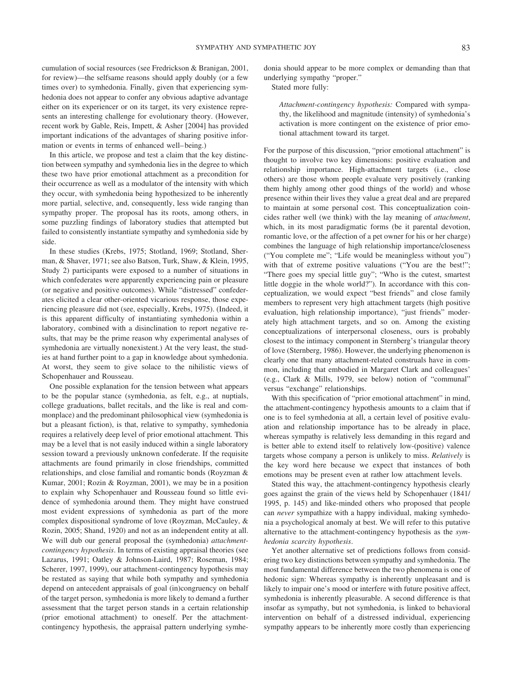cumulation of social resources (see Fredrickson & Branigan, 2001, for review)—the selfsame reasons should apply doubly (or a few times over) to symhedonia. Finally, given that experiencing symhedonia does not appear to confer any obvious adaptive advantage either on its experiencer or on its target, its very existence represents an interesting challenge for evolutionary theory. (However, recent work by Gable, Reis, Impett, & Asher [2004] has provided important indications of the advantages of sharing positive information or events in terms of enhanced well–being.)

In this article, we propose and test a claim that the key distinction between sympathy and symhedonia lies in the degree to which these two have prior emotional attachment as a precondition for their occurrence as well as a modulator of the intensity with which they occur, with symhedonia being hypothesized to be inherently more partial, selective, and, consequently, less wide ranging than sympathy proper. The proposal has its roots, among others, in some puzzling findings of laboratory studies that attempted but failed to consistently instantiate sympathy and symhedonia side by side.

In these studies (Krebs, 1975; Stotland, 1969; Stotland, Sherman, & Shaver, 1971; see also Batson, Turk, Shaw, & Klein, 1995, Study 2) participants were exposed to a number of situations in which confederates were apparently experiencing pain or pleasure (or negative and positive outcomes). While "distressed" confederates elicited a clear other-oriented vicarious response, those experiencing pleasure did not (see, especially, Krebs, 1975). (Indeed, it is this apparent difficulty of instantiating symhedonia within a laboratory, combined with a disinclination to report negative results, that may be the prime reason why experimental analyses of symhedonia are virtually nonexistent.) At the very least, the studies at hand further point to a gap in knowledge about symhedonia. At worst, they seem to give solace to the nihilistic views of Schopenhauer and Rousseau.

One possible explanation for the tension between what appears to be the popular stance (symhedonia, as felt, e.g., at nuptials, college graduations, ballet recitals, and the like is real and commonplace) and the predominant philosophical view (symhedonia is but a pleasant fiction), is that, relative to sympathy, symhedonia requires a relatively deep level of prior emotional attachment*.* This may be a level that is not easily induced within a single laboratory session toward a previously unknown confederate. If the requisite attachments are found primarily in close friendships, committed relationships, and close familial and romantic bonds (Royzman & Kumar, 2001; Rozin & Royzman, 2001), we may be in a position to explain why Schopenhauer and Rousseau found so little evidence of symhedonia around them. They might have construed most evident expressions of symhedonia as part of the more complex dispositional syndrome of love (Royzman, McCauley, & Rozin, 2005; Shand, 1920) and not as an independent entity at all. We will dub our general proposal the (symhedonia) *attachmentcontingency hypothesis*. In terms of existing appraisal theories (see Lazarus, 1991; Oatley & Johnson-Laird, 1987; Roseman, 1984; Scherer, 1997, 1999), our attachment-contingency hypothesis may be restated as saying that while both sympathy and symhedonia depend on antecedent appraisals of goal (in)congruency on behalf of the target person, symhedonia is more likely to demand a further assessment that the target person stands in a certain relationship (prior emotional attachment) to oneself. Per the attachmentcontingency hypothesis, the appraisal pattern underlying symhedonia should appear to be more complex or demanding than that underlying sympathy "proper."

Stated more fully:

*Attachment-contingency hypothesis:* Compared with sympathy, the likelihood and magnitude (intensity) of symhedonia's activation is more contingent on the existence of prior emotional attachment toward its target.

For the purpose of this discussion, "prior emotional attachment" is thought to involve two key dimensions: positive evaluation and relationship importance. High-attachment targets (i.e., close others) are those whom people evaluate very positively (ranking them highly among other good things of the world) and whose presence within their lives they value a great deal and are prepared to maintain at some personal cost. This conceptualization coincides rather well (we think) with the lay meaning of *attachment*, which, in its most paradigmatic forms (be it parental devotion, romantic love, or the affection of a pet owner for his or her charge) combines the language of high relationship importance/closeness ("You complete me"; "Life would be meaningless without you") with that of extreme positive valuations ("You are the best!"; "There goes my special little guy"; "Who is the cutest, smartest little doggie in the whole world?"). In accordance with this conceptualization, we would expect "best friends" and close family members to represent very high attachment targets (high positive evaluation, high relationship importance), "just friends" moderately high attachment targets, and so on. Among the existing conceptualizations of interpersonal closeness, ours is probably closest to the intimacy component in Sternberg's triangular theory of love (Sternberg, 1986). However, the underlying phenomenon is clearly one that many attachment-related construals have in common, including that embodied in Margaret Clark and colleagues' (e.g., Clark & Mills, 1979, see below) notion of "communal" versus "exchange" relationships.

With this specification of "prior emotional attachment" in mind, the attachment-contingency hypothesis amounts to a claim that if one is to feel symhedonia at all, a certain level of positive evaluation and relationship importance has to be already in place, whereas sympathy is relatively less demanding in this regard and is better able to extend itself to relatively low-(positive) valence targets whose company a person is unlikely to miss. *Relatively* is the key word here because we expect that instances of both emotions may be present even at rather low attachment levels.

Stated this way, the attachment-contingency hypothesis clearly goes against the grain of the views held by Schopenhauer (1841/ 1995, p. 145) and like-minded others who proposed that people can *never* sympathize with a happy individual, making symhedonia a psychological anomaly at best. We will refer to this putative alternative to the attachment-contingency hypothesis as the *symhedonia scarcity hypothesis*.

Yet another alternative set of predictions follows from considering two key distinctions between sympathy and symhedonia. The most fundamental difference between the two phenomena is one of hedonic sign: Whereas sympathy is inherently unpleasant and is likely to impair one's mood or interfere with future positive affect, symhedonia is inherently pleasurable. A second difference is that insofar as sympathy, but not symhedonia, is linked to behavioral intervention on behalf of a distressed individual, experiencing sympathy appears to be inherently more costly than experiencing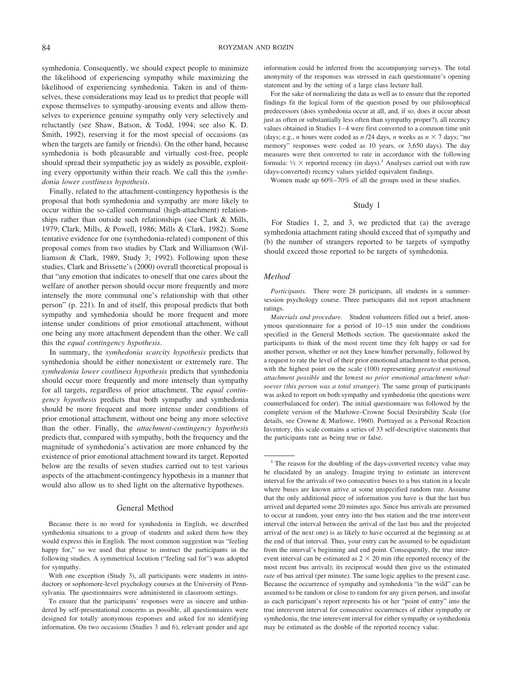symhedonia. Consequently, we should expect people to minimize the likelihood of experiencing sympathy while maximizing the likelihood of experiencing symhedonia. Taken in and of themselves, these considerations may lead us to predict that people will expose themselves to sympathy-arousing events and allow themselves to experience genuine sympathy only very selectively and reluctantly (see Shaw, Batson, & Todd, 1994; see also K. D. Smith, 1992), reserving it for the most special of occasions (as when the targets are family or friends). On the other hand, because symhedonia is both pleasurable and virtually cost-free, people should spread their sympathetic joy as widely as possible, exploiting every opportunity within their reach. We call this the *symhedonia lower costliness hypothesis*.

Finally, related to the attachment-contingency hypothesis is the proposal that both symhedonia and sympathy are more likely to occur within the so-called communal (high-attachment) relationships rather than outside such relationships (see Clark & Mills, 1979; Clark, Mills, & Powell, 1986; Mills & Clark, 1982). Some tentative evidence for one (symhedonia-related) component of this proposal comes from two studies by Clark and Williamson (Williamson & Clark, 1989, Study 3; 1992). Following upon these studies, Clark and Brissette's (2000) overall theoretical proposal is that "any emotion that indicates to oneself that one cares about the welfare of another person should occur more frequently and more intensely the more communal one's relationship with that other person" (p. 221). In and of itself, this proposal predicts that both sympathy and symhedonia should be more frequent and more intense under conditions of prior emotional attachment, without one being any more attachment dependent than the other. We call this the *equal contingency hypothesis*.

In summary, the *symhedonia scarcity hypothesis* predicts that symhedonia should be either nonexistent or extremely rare. The *symhedonia lower costliness hypothesis* predicts that symhedonia should occur more frequently and more intensely than sympathy for all targets, regardless of prior attachment. The *equal contingency hypothesis* predicts that both sympathy and symhedonia should be more frequent and more intense under conditions of prior emotional attachment, without one being any more selective than the other. Finally, the *attachment-contingency hypothesis* predicts that, compared with sympathy, both the frequency and the magnitude of symhedonia's activation are more enhanced by the existence of prior emotional attachment toward its target. Reported below are the results of seven studies carried out to test various aspects of the attachment-contingency hypothesis in a manner that would also allow us to shed light on the alternative hypotheses.

#### General Method

Because there is no word for symhedonia in English, we described symhedonia situations to a group of students and asked them how they would express this in English. The most common suggestion was "feeling happy for," so we used that phrase to instruct the participants in the following studies. A symmetrical locution ("feeling sad for") was adopted for sympathy.

With one exception (Study 3), all participants were students in introductory or sophomore-level psychology courses at the University of Pennsylvania. The questionnaires were administered in classroom settings.

To ensure that the participants' responses were as sincere and unhindered by self-presentational concerns as possible, all questionnaires were designed for totally anonymous responses and asked for no identifying information. On two occasions (Studies 3 and 6), relevant gender and age information could be inferred from the accompanying surveys. The total anonymity of the responses was stressed in each questionnaire's opening statement and by the setting of a large class lecture hall.

For the sake of normalizing the data as well as to ensure that the reported findings fit the logical form of the question posed by our philosophical predecessors (does symhedonia occur at all, and, if so, does it occur about just as often or substantially less often than sympathy proper?), all recency values obtained in Studies 1–4 were first converted to a common time unit (days; e.g., *n* hours were coded as  $n/24$  days, *n* weeks as  $n \times 7$  days; "no memory" responses were coded as 10 years, or 3,650 days). The day measures were then converted to rate in accordance with the following formula:  $\frac{1}{2} \times$  reported recency (in days).<sup>1</sup> Analyses carried out with raw (days-converted) recency values yielded equivalent findings.

Women made up 60%–70% of all the groups used in these studies.

# Study 1

For Studies 1, 2, and 3, we predicted that (a) the average symhedonia attachment rating should exceed that of sympathy and (b) the number of strangers reported to be targets of sympathy should exceed those reported to be targets of symhedonia.

#### *Method*

*Participants.* There were 28 participants, all students in a summersession psychology course. Three participants did not report attachment ratings.

*Materials and procedure.* Student volunteers filled out a brief, anonymous questionnaire for a period of 10–15 min under the conditions specified in the General Methods section. The questionnaire asked the participants to think of the most recent time they felt happy or sad for another person, whether or not they knew him/her personally, followed by a request to rate the level of their prior emotional attachment to that person, with the highest point on the scale (100) representing *greatest emotional attachment possible* and the lowest *no prior emotional attachment whatsoever (this person was a total stranger)*. The same group of participants was asked to report on both sympathy and symhedonia (the questions were counterbalanced for order). The initial questionnaire was followed by the complete version of the Marlowe–Crowne Social Desirability Scale (for details, see Crowne & Marlowe, 1960). Portrayed as a Personal Reaction Inventory, this scale contains a series of 33 self-descriptive statements that the participants rate as being true or false.

<sup>1</sup> The reason for the doubling of the days-converted recency value may be elucidated by an analogy. Imagine trying to estimate an interevent interval for the arrivals of two consecutive buses to a bus station in a locale where buses are known arrive at some unspecified random rate. Assume that the only additional piece of information you have is that the last bus arrived and departed some 20 minutes ago. Since bus arrivals are presumed to occur at random, your entry into the bus station and the true interevent interval (the interval between the arrival of the last bus and the projected arrival of the next one) is as likely to have occurred at the beginning as at the end of that interval. Thus, your entry can be assumed to be equidistant from the interval's beginning and end point. Consequently, the true interevent interval can be estimated as  $2 \times 20$  min (the reported recency of the most recent bus arrival); its reciprocal would then give us the estimated *rate* of bus arrival (per minute). The same logic applies to the present case. Because the occurrence of sympathy and symhedonia "in the wild" can be assumed to be random or close to random for any given person, and insofar as each participant's report represents his or her "point of entry" into the true interevent interval for consecutive occurrences of either sympathy or symhedonia, the true interevent interval for either sympathy or symhedonia may be estimated as the double of the reported recency value.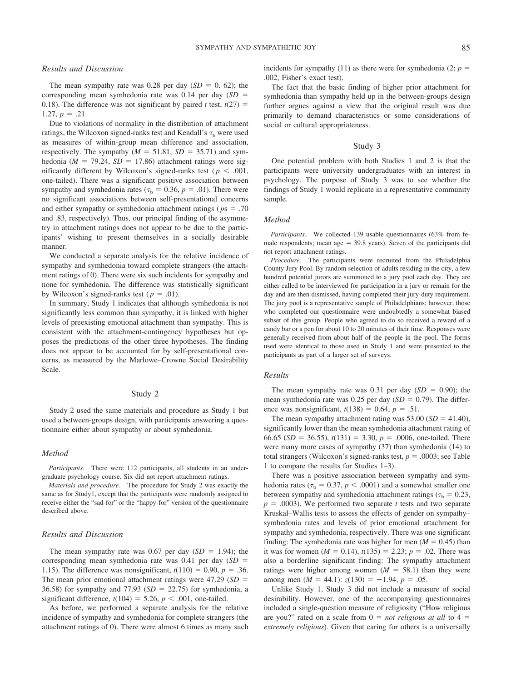# *Results and Discussion*

The mean sympathy rate was  $0.28$  per day  $(SD = 0.62)$ ; the corresponding mean symhedonia rate was  $0.14$  per day (*SD* = 0.18). The difference was not significant by paired *t* test,  $t(27) =$  $1.27, p = .21.$ 

Due to violations of normality in the distribution of attachment ratings, the Wilcoxon signed-ranks test and Kendall's  $\tau_{\rm b}$  were used as measures of within-group mean difference and association, respectively. The sympathy  $(M = 51.81, SD = 35.71)$  and symhedonia ( $M = 79.24$ ,  $SD = 17.86$ ) attachment ratings were significantly different by Wilcoxon's signed-ranks test ( $p < .001$ , one-tailed). There was a significant positive association between sympathy and symhedonia rates ( $\tau_b = 0.36$ ,  $p = .01$ ). There were no significant associations between self-presentational concerns and either sympathy or symhedonia attachment ratings ( $p$ s = .70) and .83, respectively). Thus, our principal finding of the asymmetry in attachment ratings does not appear to be due to the participants' wishing to present themselves in a socially desirable manner.

We conducted a separate analysis for the relative incidence of sympathy and symhedonia toward complete strangers (the attachment ratings of 0). There were six such incidents for sympathy and none for symhedonia. The difference was statistically significant by Wilcoxon's signed-ranks test ( $p = .01$ ).

In summary, Study 1 indicates that although symhedonia is not significantly less common than sympathy, it is linked with higher levels of preexisting emotional attachment than sympathy. This is consistent with the attachment-contingency hypotheses but opposes the predictions of the other three hypotheses. The finding does not appear to be accounted for by self-presentational concerns, as measured by the Marlowe–Crowne Social Desirability Scale.

## Study 2

Study 2 used the same materials and procedure as Study 1 but used a between-groups design, with participants answering a questionnaire either about sympathy or about symhedonia.

#### *Method*

*Participants.* There were 112 participants, all students in an undergraduate psychology course. Six did not report attachment ratings.

*Materials and procedure.* The procedure for Study 2 was exactly the same as for Study1, except that the participants were randomly assigned to receive either the "sad-for" or the "happy-for" version of the questionnaire described above.

#### *Results and Discussion*

The mean sympathy rate was 0.67 per day  $(SD = 1.94)$ ; the corresponding mean symhedonia rate was  $0.41$  per day (*SD* = 1.15). The difference was nonsignificant,  $t(110) = 0.90$ ,  $p = .36$ . The mean prior emotional attachment ratings were  $47.29$  ( $SD =$ 36.58) for sympathy and 77.93  $(SD = 22.75)$  for symhedonia, a significant difference,  $t(104) = 5.26$ ,  $p < .001$ , one-tailed.

As before, we performed a separate analysis for the relative incidence of sympathy and symhedonia for complete strangers (the attachment ratings of 0). There were almost 6 times as many such

incidents for sympathy (11) as there were for symhedonia (2;  $p =$ .002, Fisher's exact test).

The fact that the basic finding of higher prior attachment for symhedonia than sympathy held up in the between-groups design further argues against a view that the original result was due primarily to demand characteristics or some considerations of social or cultural appropriateness.

## Study 3

One potential problem with both Studies 1 and 2 is that the participants were university undergraduates with an interest in psychology. The purpose of Study 3 was to see whether the findings of Study 1 would replicate in a representative community sample.

#### *Method*

*Participants.* We collected 139 usable questionnaires (63% from female respondents; mean  $age = 39.8$  years). Seven of the participants did not report attachment ratings.

*Procedure.* The participants were recruited from the Philadelphia County Jury Pool. By random selection of adults residing in the city, a few hundred potential jurors are summoned to a jury pool each day. They are either called to be interviewed for participation in a jury or remain for the day and are then dismissed, having completed their jury-duty requirement. The jury pool is a representative sample of Philadelphians; however, those who completed our questionnaire were undoubtedly a somewhat biased subset of this group. People who agreed to do so received a reward of a candy bar or a pen for about 10 to 20 minutes of their time. Responses were generally received from about half of the people in the pool. The forms used were identical to those used in Study 1 and were presented to the participants as part of a larger set of surveys.

#### *Results*

The mean sympathy rate was  $0.31$  per day  $(SD = 0.90)$ ; the mean symhedonia rate was  $0.25$  per day  $(SD = 0.79)$ . The difference was nonsignificant,  $t(138) = 0.64$ ,  $p = .51$ .

The mean sympathy attachment rating was  $53.00$  (*SD* = 41.40), significantly lower than the mean symhedonia attachment rating of 66.65 ( $SD = 36.55$ ),  $t(131) = 3.30$ ,  $p = .0006$ , one-tailed. There were many more cases of sympathy (37) than symhedonia (14) to total strangers (Wilcoxon's signed-ranks test,  $p = .0003$ ; see Table 1 to compare the results for Studies 1–3).

There was a positive association between sympathy and symhedonia rates ( $\tau_b = 0.37$ ,  $p < .0001$ ) and a somewhat smaller one between sympathy and symhedonia attachment ratings ( $\tau_b = 0.23$ ,  $p = .0003$ ). We performed two separate *t* tests and two separate Kruskal–Wallis tests to assess the effects of gender on sympathy– symhedonia rates and levels of prior emotional attachment for sympathy and symhedonia, respectively. There was one significant finding: The symhedonia rate was higher for men  $(M = 0.45)$  than it was for women  $(M = 0.14)$ ,  $t(135) = 2.23$ ;  $p = .02$ . There was also a borderline significant finding: The sympathy attachment ratings were higher among women  $(M = 58.1)$  than they were among men  $(M = 44.1)$ :  $z(130) = -1.94$ ,  $p = .05$ .

Unlike Study 1, Study 3 did not include a measure of social desirability. However, one of the accompanying questionnaires included a single-question measure of religiosity ("How religious are you?" rated on a scale from  $0 = not$  *religious at all* to  $4 =$ *extremely religious*). Given that caring for others is a universally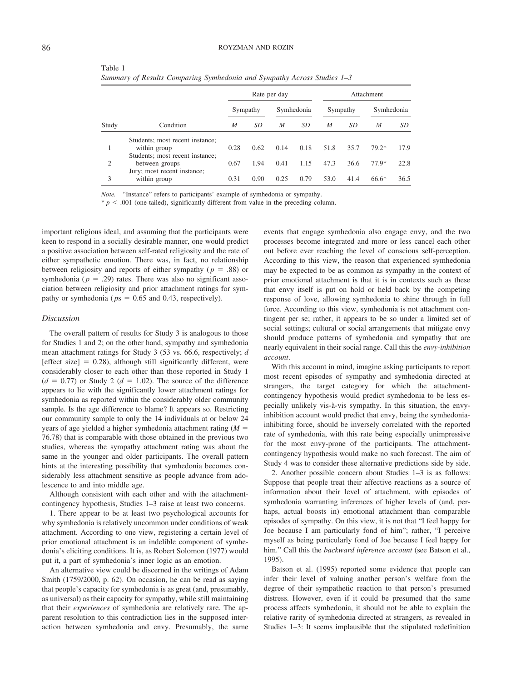|             | ٠<br>۰, |
|-------------|---------|
| I<br>×<br>٧ | I<br>۰, |

| Study          | Condition                                       | Rate per day |           |            |      | Attachment |      |            |      |
|----------------|-------------------------------------------------|--------------|-----------|------------|------|------------|------|------------|------|
|                |                                                 | Sympathy     |           | Symhedonia |      | Sympathy   |      | Symhedonia |      |
|                |                                                 | M            | <i>SD</i> | M          | SD   | M          | SD   | M          | SD   |
|                | Students; most recent instance;                 |              |           |            |      |            |      |            |      |
|                | within group<br>Students; most recent instance; | 0.28         | 0.62      | 0.14       | 0.18 | 51.8       | 35.7 | 79.2*      | 17.9 |
| $\overline{2}$ | between groups                                  | 0.67         | 1.94      | 0.41       | 1.15 | 47.3       | 36.6 | 77.9*      | 22.8 |
| 3              | Jury; most recent instance;<br>within group     | 0.31         | 0.90      | 0.25       | 0.79 | 53.0       | 41.4 | $66.6*$    | 36.5 |

Table 1 *Summary of Results Comparing Symhedonia and Sympathy Across Studies 1–3*

*Note.* "Instance" refers to participants' example of symhedonia or sympathy.

 $* p < .001$  (one-tailed), significantly different from value in the preceding column.

important religious ideal, and assuming that the participants were keen to respond in a socially desirable manner, one would predict a positive association between self-rated religiosity and the rate of either sympathetic emotion. There was, in fact, no relationship between religiosity and reports of either sympathy ( $p = .88$ ) or symhedonia ( $p = .29$ ) rates. There was also no significant association between religiosity and prior attachment ratings for sympathy or symhedonia ( $p s = 0.65$  and 0.43, respectively).

## *Discussion*

The overall pattern of results for Study 3 is analogous to those for Studies 1 and 2; on the other hand, sympathy and symhedonia mean attachment ratings for Study 3 (53 vs. 66.6, respectively; *d*  $[effect size] = 0.28$ , although still significantly different, were considerably closer to each other than those reported in Study 1  $(d = 0.77)$  or Study 2  $(d = 1.02)$ . The source of the difference appears to lie with the significantly lower attachment ratings for symhedonia as reported within the considerably older community sample. Is the age difference to blame? It appears so. Restricting our community sample to only the 14 individuals at or below 24 years of age yielded a higher symhedonia attachment rating  $(M =$ 76.78) that is comparable with those obtained in the previous two studies, whereas the sympathy attachment rating was about the same in the younger and older participants. The overall pattern hints at the interesting possibility that symhedonia becomes considerably less attachment sensitive as people advance from adolescence to and into middle age.

Although consistent with each other and with the attachmentcontingency hypothesis, Studies 1–3 raise at least two concerns.

1. There appear to be at least two psychological accounts for why symhedonia is relatively uncommon under conditions of weak attachment. According to one view, registering a certain level of prior emotional attachment is an indelible component of symhedonia's eliciting conditions. It is, as Robert Solomon (1977) would put it, a part of symhedonia's inner logic as an emotion.

An alternative view could be discerned in the writings of Adam Smith (1759/2000, p. 62). On occasion, he can be read as saying that people's capacity for symhedonia is as great (and, presumably, as universal) as their capacity for sympathy, while still maintaining that their *experiences* of symhedonia are relatively rare. The apparent resolution to this contradiction lies in the supposed interaction between symhedonia and envy. Presumably, the same events that engage symhedonia also engage envy, and the two processes become integrated and more or less cancel each other out before ever reaching the level of conscious self-perception. According to this view, the reason that experienced symhedonia may be expected to be as common as sympathy in the context of prior emotional attachment is that it is in contexts such as these that envy itself is put on hold or held back by the competing response of love, allowing symhedonia to shine through in full force. According to this view, symhedonia is not attachment contingent per se; rather, it appears to be so under a limited set of social settings; cultural or social arrangements that mitigate envy should produce patterns of symhedonia and sympathy that are nearly equivalent in their social range. Call this the *envy-inhibition account*.

With this account in mind, imagine asking participants to report most recent episodes of sympathy and symhedonia directed at strangers, the target category for which the attachmentcontingency hypothesis would predict symhedonia to be less especially unlikely vis-à-vis sympathy. In this situation, the envyinhibition account would predict that envy, being the symhedoniainhibiting force, should be inversely correlated with the reported rate of symhedonia, with this rate being especially unimpressive for the most envy-prone of the participants. The attachmentcontingency hypothesis would make no such forecast. The aim of Study 4 was to consider these alternative predictions side by side.

2. Another possible concern about Studies 1–3 is as follows: Suppose that people treat their affective reactions as a source of information about their level of attachment, with episodes of symhedonia warranting inferences of higher levels of (and, perhaps, actual boosts in) emotional attachment than comparable episodes of sympathy. On this view, it is not that "I feel happy for Joe because I am particularly fond of him"; rather, "I perceive myself as being particularly fond of Joe because I feel happy for him." Call this the *backward inference account* (see Batson et al., 1995).

Batson et al. (1995) reported some evidence that people can infer their level of valuing another person's welfare from the degree of their sympathetic reaction to that person's presumed distress. However, even if it could be presumed that the same process affects symhedonia, it should not be able to explain the relative rarity of symhedonia directed at strangers, as revealed in Studies 1–3: It seems implausible that the stipulated redefinition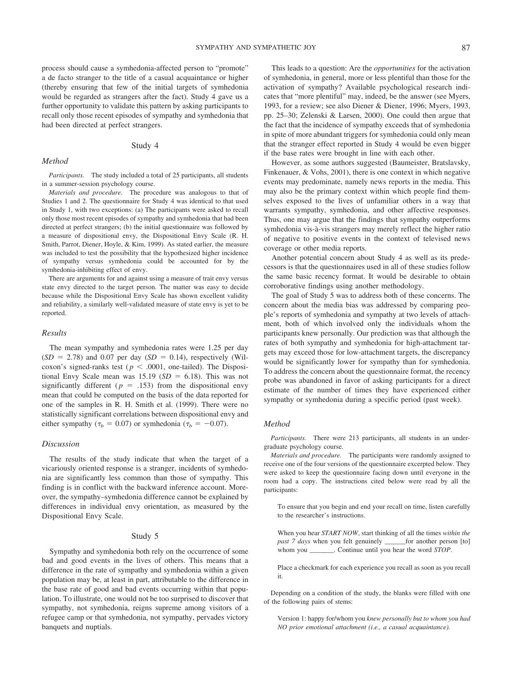process should cause a symhedonia-affected person to "promote" a de facto stranger to the title of a casual acquaintance or higher (thereby ensuring that few of the initial targets of symhedonia would be regarded as strangers after the fact). Study 4 gave us a further opportunity to validate this pattern by asking participants to recall only those recent episodes of sympathy and symhedonia that had been directed at perfect strangers.

# Study 4

# *Method*

*Participants.* The study included a total of 25 participants, all students in a summer-session psychology course.

*Materials and procedure.* The procedure was analogous to that of Studies 1 and 2. The questionnaire for Study 4 was identical to that used in Study 1, with two exceptions: (a) The participants were asked to recall only those most recent episodes of sympathy and symhedonia that had been directed at perfect strangers; (b) the initial questionnaire was followed by a measure of dispositional envy, the Dispositional Envy Scale (R. H. Smith, Parrot, Diener, Hoyle, & Kim, 1999). As stated earlier, the measure was included to test the possibility that the hypothesized higher incidence of sympathy versus symhedonia could be accounted for by the symhedonia-inhibiting effect of envy.

There are arguments for and against using a measure of trait envy versus state envy directed to the target person. The matter was easy to decide because while the Dispositional Envy Scale has shown excellent validity and reliability, a similarly well-validated measure of state envy is yet to be reported.

## *Results*

The mean sympathy and symhedonia rates were 1.25 per day  $(SD = 2.78)$  and 0.07 per day  $(SD = 0.14)$ , respectively (Wilcoxon's signed-ranks test ( $p < .0001$ , one-tailed). The Dispositional Envy Scale mean was  $15.19$  ( $SD = 6.18$ ). This was not significantly different ( $p = .153$ ) from the dispositional envy mean that could be computed on the basis of the data reported for one of the samples in R. H. Smith et al. (1999). There were no statistically significant correlations between dispositional envy and either sympathy ( $\tau_b = 0.07$ ) or symhedonia ( $\tau_b = -0.07$ ).

## *Discussion*

The results of the study indicate that when the target of a vicariously oriented response is a stranger, incidents of symhedonia are significantly less common than those of sympathy. This finding is in conflict with the backward inference account. Moreover, the sympathy–symhedonia difference cannot be explained by differences in individual envy orientation, as measured by the Dispositional Envy Scale.

#### Study 5

Sympathy and symhedonia both rely on the occurrence of some bad and good events in the lives of others. This means that a difference in the rate of sympathy and symhedonia within a given population may be, at least in part, attributable to the difference in the base rate of good and bad events occurring within that population. To illustrate, one would not be too surprised to discover that sympathy, not symhedonia, reigns supreme among visitors of a refugee camp or that symhedonia, not sympathy, pervades victory banquets and nuptials.

This leads to a question: Are the *opportunities* for the activation of symhedonia, in general, more or less plentiful than those for the activation of sympathy? Available psychological research indicates that "more plentiful" may, indeed, be the answer (see Myers, 1993, for a review; see also Diener & Diener, 1996; Myers, 1993, pp. 25–30; Zelenski & Larsen, 2000). One could then argue that the fact that the incidence of sympathy exceeds that of symhedonia in spite of more abundant triggers for symhedonia could only mean that the stranger effect reported in Study 4 would be even bigger if the base rates were brought in line with each other.

However, as some authors suggested (Baumeister, Bratslavsky, Finkenauer, & Vohs, 2001), there is one context in which negative events may predominate, namely news reports in the media. This may also be the primary context within which people find themselves exposed to the lives of unfamiliar others in a way that warrants sympathy, symhedonia, and other affective responses. Thus, one may argue that the findings that sympathy outperforms symhedonia vis-à-vis strangers may merely reflect the higher ratio of negative to positive events in the context of televised news coverage or other media reports.

Another potential concern about Study 4 as well as its predecessors is that the questionnaires used in all of these studies follow the same basic recency format. It would be desirable to obtain corroborative findings using another methodology.

The goal of Study 5 was to address both of these concerns. The concern about the media bias was addressed by comparing people's reports of symhedonia and sympathy at two levels of attachment, both of which involved only the individuals whom the participants knew personally. Our prediction was that although the rates of both sympathy and symhedonia for high-attachment targets may exceed those for low-attachment targets, the discrepancy would be significantly lower for sympathy than for symhedonia. To address the concern about the questionnaire format, the recency probe was abandoned in favor of asking participants for a direct estimate of the number of times they have experienced either sympathy or symhedonia during a specific period (past week).

## *Method*

*Participants.* There were 213 participants, all students in an undergraduate psychology course.

*Materials and procedure.* The participants were randomly assigned to receive one of the four versions of the questionnaire excerpted below. They were asked to keep the questionnaire facing down until everyone in the room had a copy. The instructions cited below were read by all the participants:

To ensure that you begin and end your recall on time, listen carefully to the researcher's instructions.

- When you hear *START NOW*, start thinking of all the times *within the past 7 days* when you felt genuinely \_\_\_\_\_\_for another person [to] whom you \_\_\_\_\_\_\_. Continue until you hear the word *STOP*.
- Place a checkmark for each experience you recall as soon as you recall it.

Depending on a condition of the study, the blanks were filled with one of the following pairs of stems:

Version 1: happy for/whom you *knew personally but to whom you had NO prior emotional attachment (i.e., a casual acquaintance).*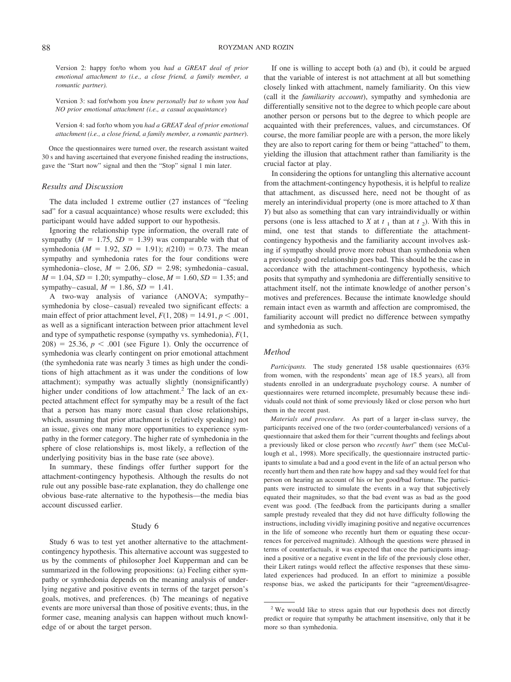Version 2: happy for/to whom you *had a GREAT deal of prior emotional attachment to (i.e., a close friend, a family member, a romantic partner).*

Version 3: sad for/whom you *knew personally but to whom you had NO prior emotional attachment (i.e., a casual acquaintance*)

Version 4: sad for/to whom you *had a GREAT deal of prior emotional attachment (i.e., a close friend, a family member, a romantic partner*).

Once the questionnaires were turned over, the research assistant waited 30 s and having ascertained that everyone finished reading the instructions, gave the "Start now" signal and then the "Stop" signal 1 min later.

## *Results and Discussion*

The data included 1 extreme outlier (27 instances of "feeling sad" for a casual acquaintance) whose results were excluded; this participant would have added support to our hypothesis.

Ignoring the relationship type information, the overall rate of sympathy  $(M = 1.75, SD = 1.39)$  was comparable with that of symhedonia ( $M = 1.92$ ,  $SD = 1.91$ );  $t(210) = 0.73$ . The mean sympathy and symhedonia rates for the four conditions were symhedonia–close,  $M = 2.06$ ,  $SD = 2.98$ ; symhedonia–casual,  $M = 1.04$ ,  $SD = 1.20$ ; sympathy–close,  $M = 1.60$ ,  $SD = 1.35$ ; and sympathy–casual,  $M = 1.86$ ,  $SD = 1.41$ .

A two-way analysis of variance (ANOVA; sympathy– symhedonia by close–casual) revealed two significant effects: a main effect of prior attachment level,  $F(1, 208) = 14.91$ ,  $p < .001$ , as well as a significant interaction between prior attachment level and type of sympathetic response (sympathy vs. symhedonia), *F*(1,  $208) = 25.36, p < .001$  (see Figure 1). Only the occurrence of symhedonia was clearly contingent on prior emotional attachment (the symhedonia rate was nearly 3 times as high under the conditions of high attachment as it was under the conditions of low attachment); sympathy was actually slightly (nonsignificantly) higher under conditions of low attachment.<sup>2</sup> The lack of an expected attachment effect for sympathy may be a result of the fact that a person has many more casual than close relationships, which, assuming that prior attachment is (relatively speaking) not an issue, gives one many more opportunities to experience sympathy in the former category. The higher rate of symhedonia in the sphere of close relationships is, most likely, a reflection of the underlying positivity bias in the base rate (see above).

In summary, these findings offer further support for the attachment-contingency hypothesis. Although the results do not rule out any possible base-rate explanation, they do challenge one obvious base-rate alternative to the hypothesis—the media bias account discussed earlier.

# Study 6

Study 6 was to test yet another alternative to the attachmentcontingency hypothesis. This alternative account was suggested to us by the comments of philosopher Joel Kupperman and can be summarized in the following propositions: (a) Feeling either sympathy or symhedonia depends on the meaning analysis of underlying negative and positive events in terms of the target person's goals, motives, and preferences. (b) The meanings of negative events are more universal than those of positive events; thus, in the former case, meaning analysis can happen without much knowledge of or about the target person.

If one is willing to accept both (a) and (b), it could be argued that the variable of interest is not attachment at all but something closely linked with attachment, namely familiarity. On this view (call it the *familiarity account*), sympathy and symhedonia are differentially sensitive not to the degree to which people care about another person or persons but to the degree to which people are acquainted with their preferences, values, and circumstances. Of course, the more familiar people are with a person, the more likely they are also to report caring for them or being "attached" to them, yielding the illusion that attachment rather than familiarity is the crucial factor at play.

In considering the options for untangling this alternative account from the attachment-contingency hypothesis, it is helpful to realize that attachment, as discussed here, need not be thought of as merely an interindividual property (one is more attached to *X* than *Y*) but also as something that can vary intraindividually or within persons (one is less attached to *X* at  $t_1$  than at  $t_2$ ). With this in mind, one test that stands to differentiate the attachmentcontingency hypothesis and the familiarity account involves asking if sympathy should prove more robust than symhedonia when a previously good relationship goes bad. This should be the case in accordance with the attachment-contingency hypothesis, which posits that sympathy and symhedonia are differentially sensitive to attachment itself, not the intimate knowledge of another person's motives and preferences. Because the intimate knowledge should remain intact even as warmth and affection are compromised, the familiarity account will predict no difference between sympathy and symhedonia as such.

#### *Method*

*Participants.* The study generated 158 usable questionnaires (63% from women, with the respondents' mean age of 18.5 years), all from students enrolled in an undergraduate psychology course. A number of questionnaires were returned incomplete, presumably because these individuals could not think of some previously liked or close person who hurt them in the recent past.

*Materials and procedure.* As part of a larger in-class survey, the participants received one of the two (order-counterbalanced) versions of a questionnaire that asked them for their "current thoughts and feelings about a previously liked or close person who *recently hurt*" them (see McCullough et al., 1998). More specifically, the questionnaire instructed participants to simulate a bad and a good event in the life of an actual person who recently hurt them and then rate how happy and sad they would feel for that person on hearing an account of his or her good/bad fortune. The participants were instructed to simulate the events in a way that subjectively equated their magnitudes, so that the bad event was as bad as the good event was good. (The feedback from the participants during a smaller sample prestudy revealed that they did not have difficulty following the instructions, including vividly imagining positive and negative occurrences in the life of someone who recently hurt them or equating these occurrences for perceived magnitude). Although the questions were phrased in terms of counterfactuals, it was expected that once the participants imagined a positive or a negative event in the life of the previously close other, their Likert ratings would reflect the affective responses that these simulated experiences had produced. In an effort to minimize a possible response bias, we asked the participants for their "agreement/disagree-

<sup>&</sup>lt;sup>2</sup> We would like to stress again that our hypothesis does not directly predict or require that sympathy be attachment insensitive, only that it be more so than symhedonia.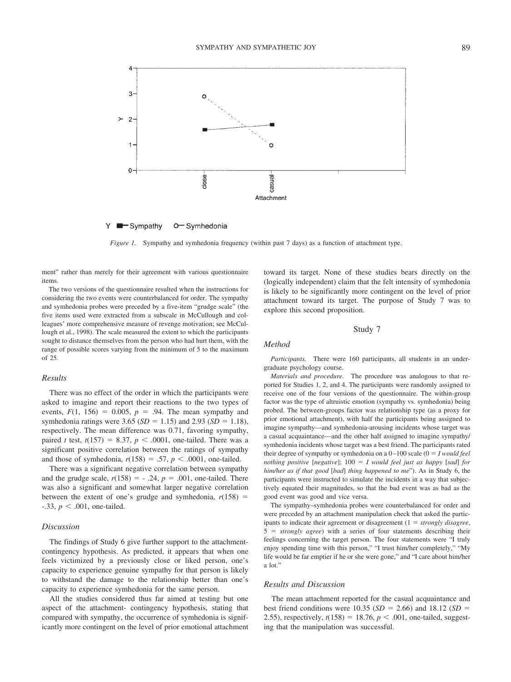

Y <del>■</del>Sympathy O-Symhedonia

*Figure 1.* Sympathy and symhedonia frequency (within past 7 days) as a function of attachment type.

ment" rather than merely for their agreement with various questionnaire items.

The two versions of the questionnaire resulted when the instructions for considering the two events were counterbalanced for order. The sympathy and symhedonia probes were preceded by a five-item "grudge scale" (the five items used were extracted from a subscale in McCullough and colleagues' more comprehensive measure of revenge motivation; see McCullough et al., 1998). The scale measured the extent to which the participants sought to distance themselves from the person who had hurt them, with the range of possible scores varying from the minimum of 5 to the maximum of 25.

#### *Results*

There was no effect of the order in which the participants were asked to imagine and report their reactions to the two types of events,  $F(1, 156) = 0.005$ ,  $p = .94$ . The mean sympathy and symhedonia ratings were 3.65 ( $SD = 1.15$ ) and 2.93 ( $SD = 1.18$ ), respectively. The mean difference was 0.71, favoring sympathy, paired *t* test,  $t(157) = 8.37$ ,  $p < .0001$ , one-tailed. There was a significant positive correlation between the ratings of sympathy and those of symhedonia,  $r(158) = .57$ ,  $p < .0001$ , one-tailed.

There was a significant negative correlation between sympathy and the grudge scale,  $r(158) = -0.24$ ,  $p = 0.001$ , one-tailed. There was also a significant and somewhat larger negative correlation between the extent of one's grudge and symhedonia,  $r(158)$  =  $-0.33, p < .001$ , one-tailed.

#### *Discussion*

The findings of Study 6 give further support to the attachmentcontingency hypothesis. As predicted, it appears that when one feels victimized by a previously close or liked person, one's capacity to experience genuine sympathy for that person is likely to withstand the damage to the relationship better than one's capacity to experience symhedonia for the same person.

All the studies considered thus far aimed at testing but one aspect of the attachment- contingency hypothesis, stating that compared with sympathy, the occurrence of symhedonia is significantly more contingent on the level of prior emotional attachment toward its target. None of these studies bears directly on the (logically independent) claim that the felt intensity of symhedonia is likely to be significantly more contingent on the level of prior attachment toward its target. The purpose of Study 7 was to explore this second proposition.

## Study 7

#### *Method*

*Participants.* There were 160 participants, all students in an undergraduate psychology course.

*Materials and procedure.* The procedure was analogous to that reported for Studies 1, 2, and 4. The participants were randomly assigned to receive one of the four versions of the questionnaire. The within-group factor was the type of altruistic emotion (sympathy vs. symhedonia) being probed. The between-groups factor was relationship type (as a proxy for prior emotional attachment), with half the participants being assigned to imagine sympathy—and symhedonia-arousing incidents whose target was a casual acquaintance—and the other half assigned to imagine sympathy/ symhedonia incidents whose target was a best friend. The participants rated their degree of sympathy or symhedonia on a  $0-100$  scale  $(0 = I$  *would feel nothing positive* [*negative*];  $100 = I$  *would feel just as happy* [*sad*] *for him/her as if that good* [*bad*] *thing happened to me*"). As in Study 6, the participants were instructed to simulate the incidents in a way that subjectively equated their magnitudes, so that the bad event was as bad as the good event was good and vice versa.

The sympathy–symhedonia probes were counterbalanced for order and were preceded by an attachment manipulation check that asked the participants to indicate their agreement or disagreement  $(1 = strongly \, disagree,$ 5 = *strongly agree*) with a series of four statements describing their feelings concerning the target person. The four statements were "I truly enjoy spending time with this person," "I trust him/her completely," "My life would be far emptier if he or she were gone," and "I care about him/her a lot."

## *Results and Discussion*

The mean attachment reported for the casual acquaintance and best friend conditions were  $10.35$  ( $SD = 2.66$ ) and  $18.12$  ( $SD =$ 2.55), respectively,  $t(158) = 18.76$ ,  $p < .001$ , one-tailed, suggesting that the manipulation was successful.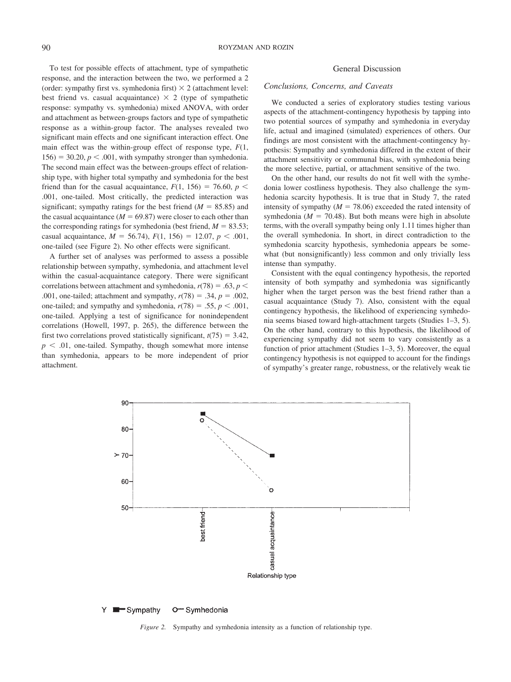To test for possible effects of attachment, type of sympathetic response, and the interaction between the two, we performed a 2 (order: sympathy first vs. symhedonia first)  $\times$  2 (attachment level: best friend vs. casual acquaintance)  $\times$  2 (type of sympathetic response: sympathy vs. symhedonia) mixed ANOVA, with order and attachment as between-groups factors and type of sympathetic response as a within-group factor. The analyses revealed two significant main effects and one significant interaction effect. One main effect was the within-group effect of response type, *F*(1,  $156$ ) = 30.20,  $p < .001$ , with sympathy stronger than symhedonia. The second main effect was the between-groups effect of relationship type, with higher total sympathy and symhedonia for the best friend than for the casual acquaintance,  $F(1, 156) = 76.60$ ,  $p <$ .001, one-tailed. Most critically, the predicted interaction was significant; sympathy ratings for the best friend  $(M = 85.85)$  and the casual acquaintance  $(M = 69.87)$  were closer to each other than the corresponding ratings for symhedonia (best friend,  $M = 83.53$ ; casual acquaintance,  $M = 56.74$ ,  $F(1, 156) = 12.07$ ,  $p < .001$ , one-tailed (see Figure 2). No other effects were significant.

A further set of analyses was performed to assess a possible relationship between sympathy, symhedonia, and attachment level within the casual-acquaintance category. There were significant correlations between attachment and symhedonia,  $r(78) = .63$ ,  $p <$ .001, one-tailed; attachment and sympathy,  $r(78) = .34$ ,  $p = .002$ , one-tailed; and sympathy and symhedonia,  $r(78) = .55$ ,  $p < .001$ , one-tailed. Applying a test of significance for nonindependent correlations (Howell, 1997, p. 265), the difference between the first two correlations proved statistically significant,  $t(75) = 3.42$ ,  $p < .01$ , one-tailed. Sympathy, though somewhat more intense than symhedonia, appears to be more independent of prior attachment.

#### General Discussion

#### *Conclusions, Concerns, and Caveats*

We conducted a series of exploratory studies testing various aspects of the attachment-contingency hypothesis by tapping into two potential sources of sympathy and symhedonia in everyday life, actual and imagined (simulated) experiences of others. Our findings are most consistent with the attachment-contingency hypothesis: Sympathy and symhedonia differed in the extent of their attachment sensitivity or communal bias, with symhedonia being the more selective, partial, or attachment sensitive of the two.

On the other hand, our results do not fit well with the symhedonia lower costliness hypothesis. They also challenge the symhedonia scarcity hypothesis. It is true that in Study 7, the rated intensity of sympathy  $(M = 78.06)$  exceeded the rated intensity of symhedonia ( $M = 70.48$ ). But both means were high in absolute terms, with the overall sympathy being only 1.11 times higher than the overall symhedonia. In short, in direct contradiction to the symhedonia scarcity hypothesis, symhedonia appears be somewhat (but nonsignificantly) less common and only trivially less intense than sympathy.

Consistent with the equal contingency hypothesis, the reported intensity of both sympathy and symhedonia was significantly higher when the target person was the best friend rather than a casual acquaintance (Study 7). Also, consistent with the equal contingency hypothesis, the likelihood of experiencing symhedonia seems biased toward high-attachment targets (Studies 1–3, 5). On the other hand, contrary to this hypothesis, the likelihood of experiencing sympathy did not seem to vary consistently as a function of prior attachment (Studies 1–3, 5). Moreover, the equal contingency hypothesis is not equipped to account for the findings of sympathy's greater range, robustness, or the relatively weak tie



*Figure 2.* Sympathy and symhedonia intensity as a function of relationship type.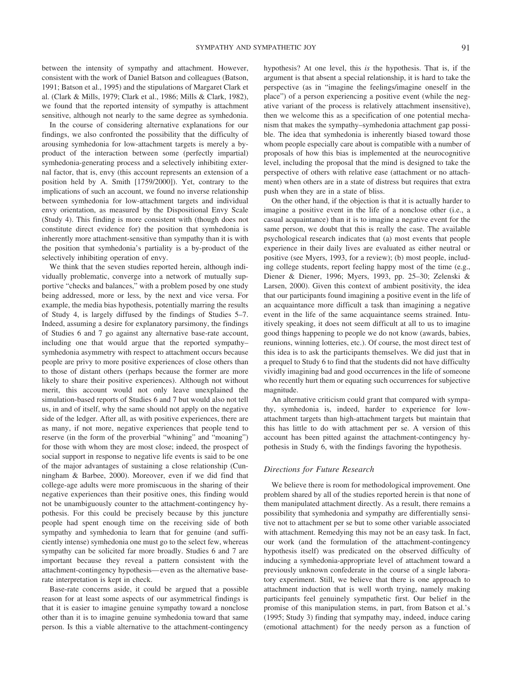between the intensity of sympathy and attachment. However, consistent with the work of Daniel Batson and colleagues (Batson, 1991; Batson et al., 1995) and the stipulations of Margaret Clark et al. (Clark & Mills, 1979; Clark et al., 1986; Mills & Clark, 1982), we found that the reported intensity of sympathy is attachment sensitive, although not nearly to the same degree as symhedonia.

In the course of considering alternative explanations for our findings, we also confronted the possibility that the difficulty of arousing symhedonia for low-attachment targets is merely a byproduct of the interaction between some (perfectly impartial) symhedonia-generating process and a selectively inhibiting external factor, that is, envy (this account represents an extension of a position held by A. Smith [1759/2000]). Yet, contrary to the implications of such an account, we found no inverse relationship between symhedonia for low-attachment targets and individual envy orientation, as measured by the Dispositional Envy Scale (Study 4). This finding is more consistent with (though does not constitute direct evidence for) the position that symhedonia is inherently more attachment-sensitive than sympathy than it is with the position that symhedonia's partiality is a by-product of the selectively inhibiting operation of envy.

We think that the seven studies reported herein, although individually problematic, converge into a network of mutually supportive "checks and balances," with a problem posed by one study being addressed, more or less, by the next and vice versa. For example, the media bias hypothesis, potentially marring the results of Study 4, is largely diffused by the findings of Studies 5–7. Indeed, assuming a desire for explanatory parsimony, the findings of Studies 6 and 7 go against any alternative base-rate account, including one that would argue that the reported sympathy– symhedonia asymmetry with respect to attachment occurs because people are privy to more positive experiences of close others than to those of distant others (perhaps because the former are more likely to share their positive experiences). Although not without merit, this account would not only leave unexplained the simulation-based reports of Studies 6 and 7 but would also not tell us, in and of itself, why the same should not apply on the negative side of the ledger. After all, as with positive experiences, there are as many, if not more, negative experiences that people tend to reserve (in the form of the proverbial "whining" and "moaning") for those with whom they are most close; indeed, the prospect of social support in response to negative life events is said to be one of the major advantages of sustaining a close relationship (Cunningham & Barbee, 2000). Moreover, even if we did find that college-age adults were more promiscuous in the sharing of their negative experiences than their positive ones, this finding would not be unambiguously counter to the attachment-contingency hypothesis. For this could be precisely because by this juncture people had spent enough time on the receiving side of both sympathy and symhedonia to learn that for genuine (and sufficiently intense) symhedonia one must go to the select few, whereas sympathy can be solicited far more broadly. Studies 6 and 7 are important because they reveal a pattern consistent with the attachment-contingency hypothesis—even as the alternative baserate interpretation is kept in check.

Base-rate concerns aside, it could be argued that a possible reason for at least some aspects of our asymmetrical findings is that it is easier to imagine genuine sympathy toward a nonclose other than it is to imagine genuine symhedonia toward that same person. Is this a viable alternative to the attachment-contingency hypothesis? At one level, this *is* the hypothesis. That is, if the argument is that absent a special relationship, it is hard to take the perspective (as in "imagine the feelings/imagine oneself in the place") of a person experiencing a positive event (while the negative variant of the process is relatively attachment insensitive), then we welcome this as a specification of one potential mechanism that makes the sympathy–symhedonia attachment gap possible. The idea that symhedonia is inherently biased toward those whom people especially care about is compatible with a number of proposals of how this bias is implemented at the neurocognitive level, including the proposal that the mind is designed to take the perspective of others with relative ease (attachment or no attachment) when others are in a state of distress but requires that extra push when they are in a state of bliss.

On the other hand, if the objection is that it is actually harder to imagine a positive event in the life of a nonclose other (i.e., a casual acquaintance) than it is to imagine a negative event for the same person, we doubt that this is really the case. The available psychological research indicates that (a) most events that people experience in their daily lives are evaluated as either neutral or positive (see Myers, 1993, for a review); (b) most people, including college students, report feeling happy most of the time (e.g., Diener & Diener, 1996; Myers, 1993, pp. 25–30; Zelenski & Larsen, 2000). Given this context of ambient positivity, the idea that our participants found imagining a positive event in the life of an acquaintance more difficult a task than imagining a negative event in the life of the same acquaintance seems strained. Intuitively speaking, it does not seem difficult at all to us to imagine good things happening to people we do not know (awards, babies, reunions, winning lotteries, etc.). Of course, the most direct test of this idea is to ask the participants themselves. We did just that in a prequel to Study 6 to find that the students did not have difficulty vividly imagining bad and good occurrences in the life of someone who recently hurt them or equating such occurrences for subjective magnitude.

An alternative criticism could grant that compared with sympathy, symhedonia is, indeed, harder to experience for lowattachment targets than high-attachment targets but maintain that this has little to do with attachment per se. A version of this account has been pitted against the attachment-contingency hypothesis in Study 6, with the findings favoring the hypothesis.

# *Directions for Future Research*

We believe there is room for methodological improvement. One problem shared by all of the studies reported herein is that none of them manipulated attachment directly. As a result, there remains a possibility that symhedonia and sympathy are differentially sensitive not to attachment per se but to some other variable associated with attachment. Remedying this may not be an easy task. In fact, our work (and the formulation of the attachment-contingency hypothesis itself) was predicated on the observed difficulty of inducing a symhedonia-appropriate level of attachment toward a previously unknown confederate in the course of a single laboratory experiment. Still, we believe that there is one approach to attachment induction that is well worth trying, namely making participants feel genuinely sympathetic first. Our belief in the promise of this manipulation stems, in part, from Batson et al.'s (1995; Study 3) finding that sympathy may, indeed, induce caring (emotional attachment) for the needy person as a function of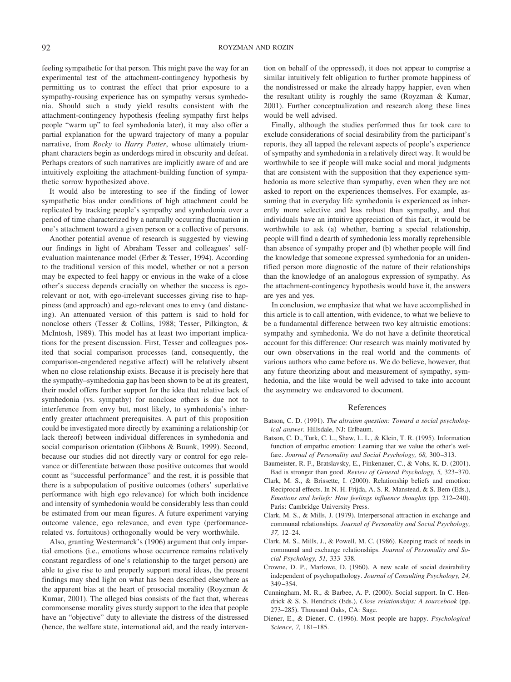feeling sympathetic for that person. This might pave the way for an experimental test of the attachment-contingency hypothesis by permitting us to contrast the effect that prior exposure to a sympathy-rousing experience has on sympathy versus symhedonia. Should such a study yield results consistent with the attachment-contingency hypothesis (feeling sympathy first helps people "warm up" to feel symhedonia later), it may also offer a partial explanation for the upward trajectory of many a popular narrative, from *Rocky* to *Harry Potter*, whose ultimately triumphant characters begin as underdogs mired in obscurity and defeat. Perhaps creators of such narratives are implicitly aware of and are intuitively exploiting the attachment-building function of sympathetic sorrow hypothesized above.

It would also be interesting to see if the finding of lower sympathetic bias under conditions of high attachment could be replicated by tracking people's sympathy and symhedonia over a period of time characterized by a naturally occurring fluctuation in one's attachment toward a given person or a collective of persons.

Another potential avenue of research is suggested by viewing our findings in light of Abraham Tesser and colleagues' selfevaluation maintenance model (Erber & Tesser, 1994). According to the traditional version of this model, whether or not a person may be expected to feel happy or envious in the wake of a close other's success depends crucially on whether the success is egorelevant or not, with ego-irrelevant successes giving rise to happiness (and approach) and ego-relevant ones to envy (and distancing). An attenuated version of this pattern is said to hold for nonclose others (Tesser & Collins, 1988; Tesser, Pilkington, & McIntosh, 1989). This model has at least two important implications for the present discussion. First, Tesser and colleagues posited that social comparison processes (and, consequently, the comparison-engendered negative affect) will be relatively absent when no close relationship exists. Because it is precisely here that the sympathy–symhedonia gap has been shown to be at its greatest, their model offers further support for the idea that relative lack of symhedonia (vs. sympathy) for nonclose others is due not to interference from envy but, most likely, to symhedonia's inherently greater attachment prerequisites. A part of this proposition could be investigated more directly by examining a relationship (or lack thereof) between individual differences in symhedonia and social comparison orientation (Gibbons & Buunk, 1999). Second, because our studies did not directly vary or control for ego relevance or differentiate between those positive outcomes that would count as "successful performance" and the rest, it is possible that there is a subpopulation of positive outcomes (others' superlative performance with high ego relevance) for which both incidence and intensity of symhedonia would be considerably less than could be estimated from our mean figures. A future experiment varying outcome valence, ego relevance, and even type (performancerelated vs. fortuitous) orthogonally would be very worthwhile.

Also, granting Westermarck's (1906) argument that only impartial emotions (i.e., emotions whose occurrence remains relatively constant regardless of one's relationship to the target person) are able to give rise to and properly support moral ideas, the present findings may shed light on what has been described elsewhere as the apparent bias at the heart of prosocial morality (Royzman & Kumar, 2001). The alleged bias consists of the fact that, whereas commonsense morality gives sturdy support to the idea that people have an "objective" duty to alleviate the distress of the distressed (hence, the welfare state, international aid, and the ready intervention on behalf of the oppressed), it does not appear to comprise a similar intuitively felt obligation to further promote happiness of the nondistressed or make the already happy happier, even when the resultant utility is roughly the same (Royzman & Kumar, 2001). Further conceptualization and research along these lines would be well advised.

Finally, although the studies performed thus far took care to exclude considerations of social desirability from the participant's reports, they all tapped the relevant aspects of people's experience of sympathy and symhedonia in a relatively direct way. It would be worthwhile to see if people will make social and moral judgments that are consistent with the supposition that they experience symhedonia as more selective than sympathy, even when they are not asked to report on the experiences themselves. For example, assuming that in everyday life symhedonia is experienced as inherently more selective and less robust than sympathy, and that individuals have an intuitive appreciation of this fact, it would be worthwhile to ask (a) whether, barring a special relationship, people will find a dearth of symhedonia less morally reprehensible than absence of sympathy proper and (b) whether people will find the knowledge that someone expressed symhedonia for an unidentified person more diagnostic of the nature of their relationships than the knowledge of an analogous expression of sympathy. As the attachment-contingency hypothesis would have it, the answers are yes and yes.

In conclusion, we emphasize that what we have accomplished in this article is to call attention, with evidence, to what we believe to be a fundamental difference between two key altruistic emotions: sympathy and symhedonia. We do not have a definite theoretical account for this difference: Our research was mainly motivated by our own observations in the real world and the comments of various authors who came before us. We do believe, however, that any future theorizing about and measurement of sympathy, symhedonia, and the like would be well advised to take into account the asymmetry we endeavored to document.

# References

- Batson, C. D. (1991). *The altruism question: Toward a social psychological answer.* Hillsdale, NJ: Erlbaum.
- Batson, C. D., Turk, C. L., Shaw, L. L., & Klein, T. R. (1995). Information function of empathic emotion: Learning that we value the other's welfare. *Journal of Personality and Social Psychology, 68,* 300–313.
- Baumeister, R. F., Bratslavsky, E., Finkenauer, C., & Vohs, K. D. (2001). Bad is stronger than good. *Review of General Psychology, 5,* 323–370.
- Clark, M. S., & Brissette, I. (2000). Relationship beliefs and emotion: Reciprocal effects. In N. H. Frijda, A. S. R. Manstead, & S. Bem (Eds.), *Emotions and beliefs: How feelings influence thoughts* (pp. 212–240). Paris: Cambridge University Press.
- Clark, M. S., & Mills, J. (1979). Interpersonal attraction in exchange and communal relationships. *Journal of Personality and Social Psychology, 37,* 12–24.
- Clark, M. S., Mills, J., & Powell, M. C. (1986). Keeping track of needs in communal and exchange relationships. *Journal of Personality and Social Psychology, 51,* 333–338.
- Crowne, D. P., Marlowe, D. (1960). A new scale of social desirability independent of psychopathology. *Journal of Consulting Psychology, 24,* 349–354.
- Cunningham, M. R., & Barbee, A. P. (2000). Social support. In C. Hendrick & S. S. Hendrick (Eds.), *Close relationships: A sourcebook* (pp. 273–285). Thousand Oaks, CA: Sage.
- Diener, E., & Diener, C. (1996). Most people are happy. *Psychological Science, 7,* 181–185.